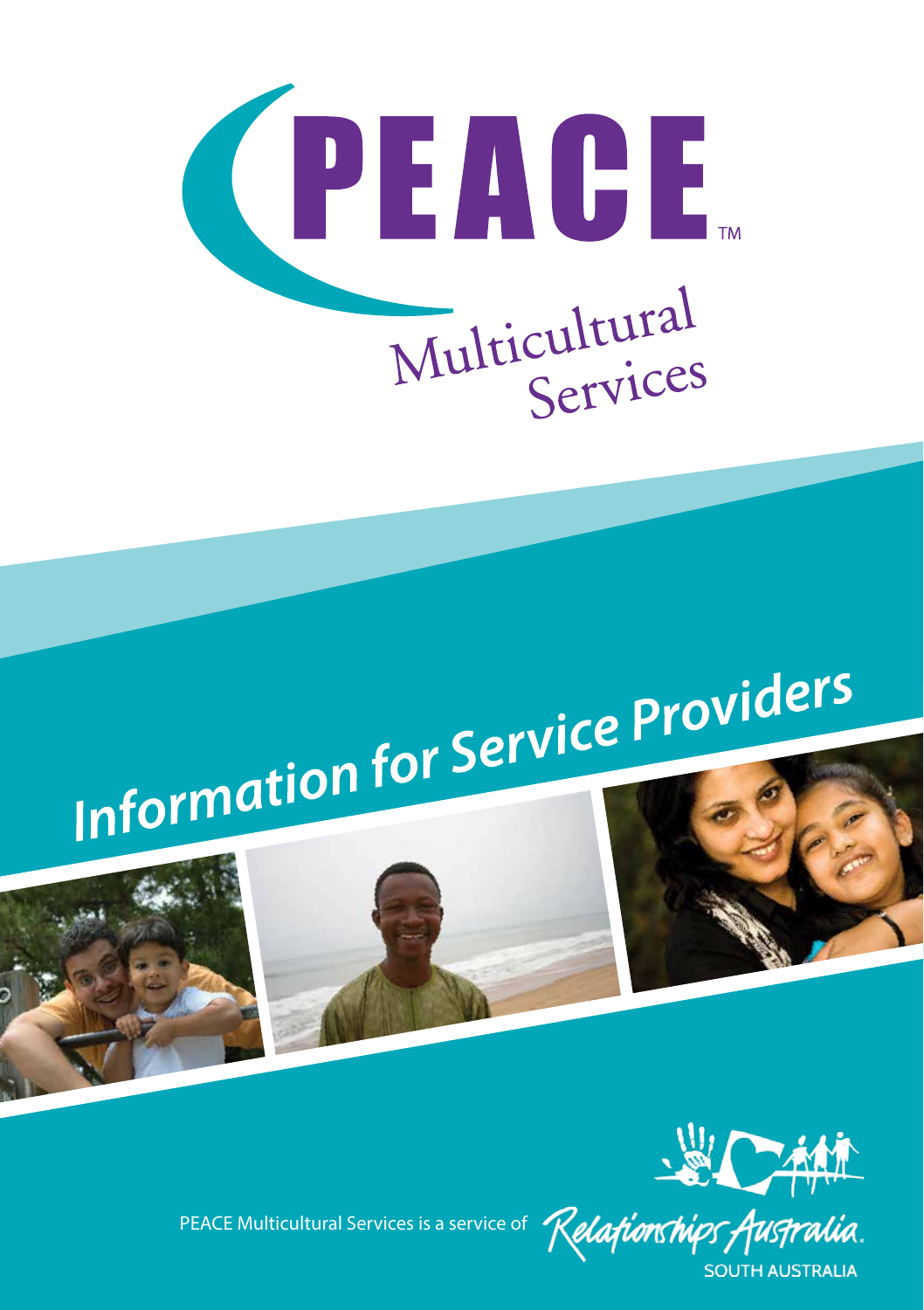

# Information for Service Providers





PEACE Multicultural Services is a service of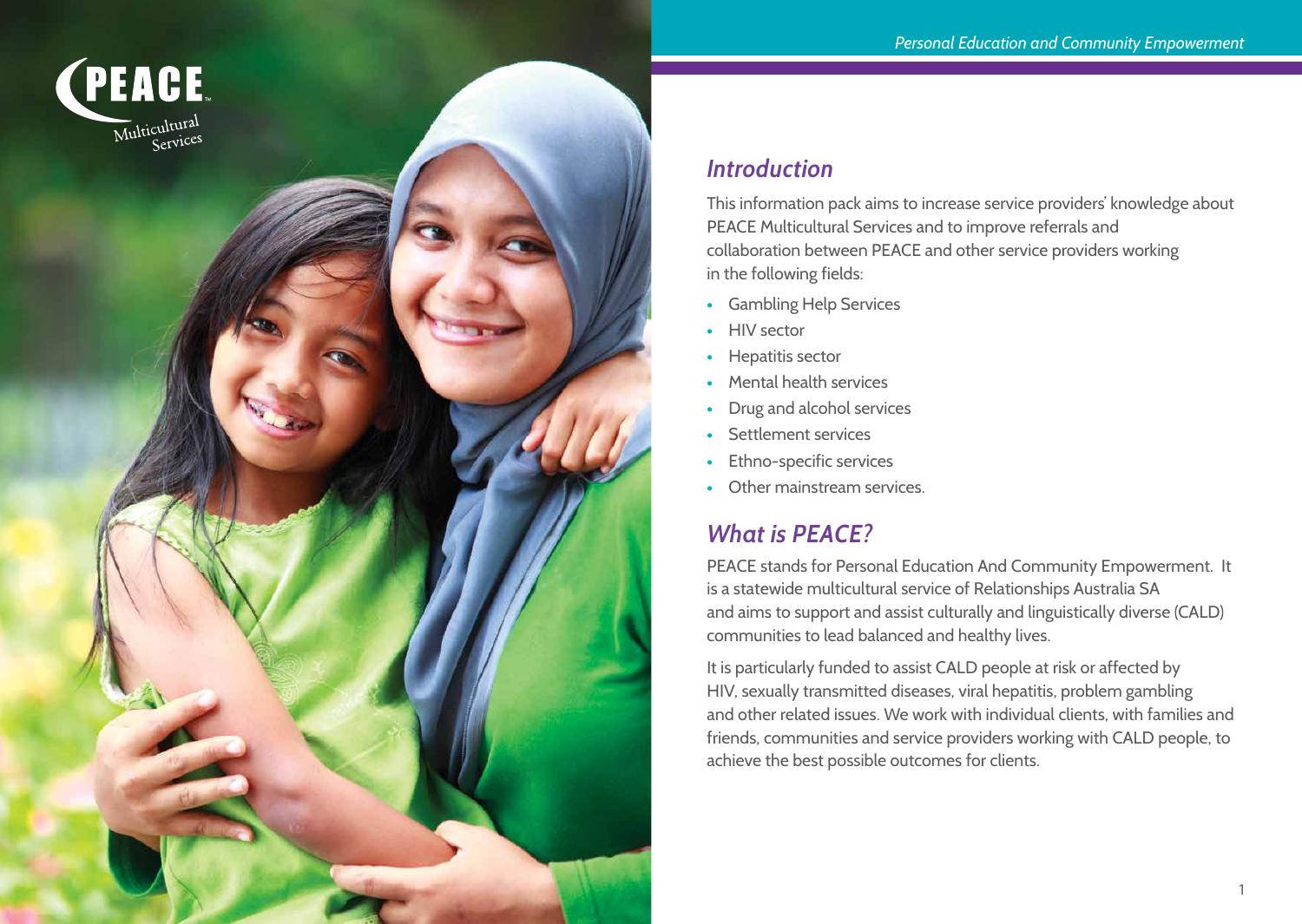

### *Introduction*

This information pack aims to increase service providers' knowledge about PEACE Multicultural Services and to improve referrals and collaboration between PEACE and other service providers working in the following fields:

- **•** Gambling Help Services
- **•** HIV sector
- **•** Hepatitis sector
- **•** Mental health services
- **•** Drug and alcohol services
- **•** Settlement services
- **•** Ethno-specific services
- **•** Other mainstream services.

# *What is PEACE?*

PEACE stands for Personal Education And Community Empowerment. It is a statewide multicultural service of Relationships Australia SA and aims to support and assist culturally and linguistically diverse (CALD) communities to lead balanced and healthy lives.

It is particularly funded to assist CALD people at risk or affected by HIV, sexually transmitted diseases, viral hepatitis, problem gambling and other related issues. We work with individual clients, with families and friends, communities and service providers working with CALD people, to achieve the best possible outcomes for clients.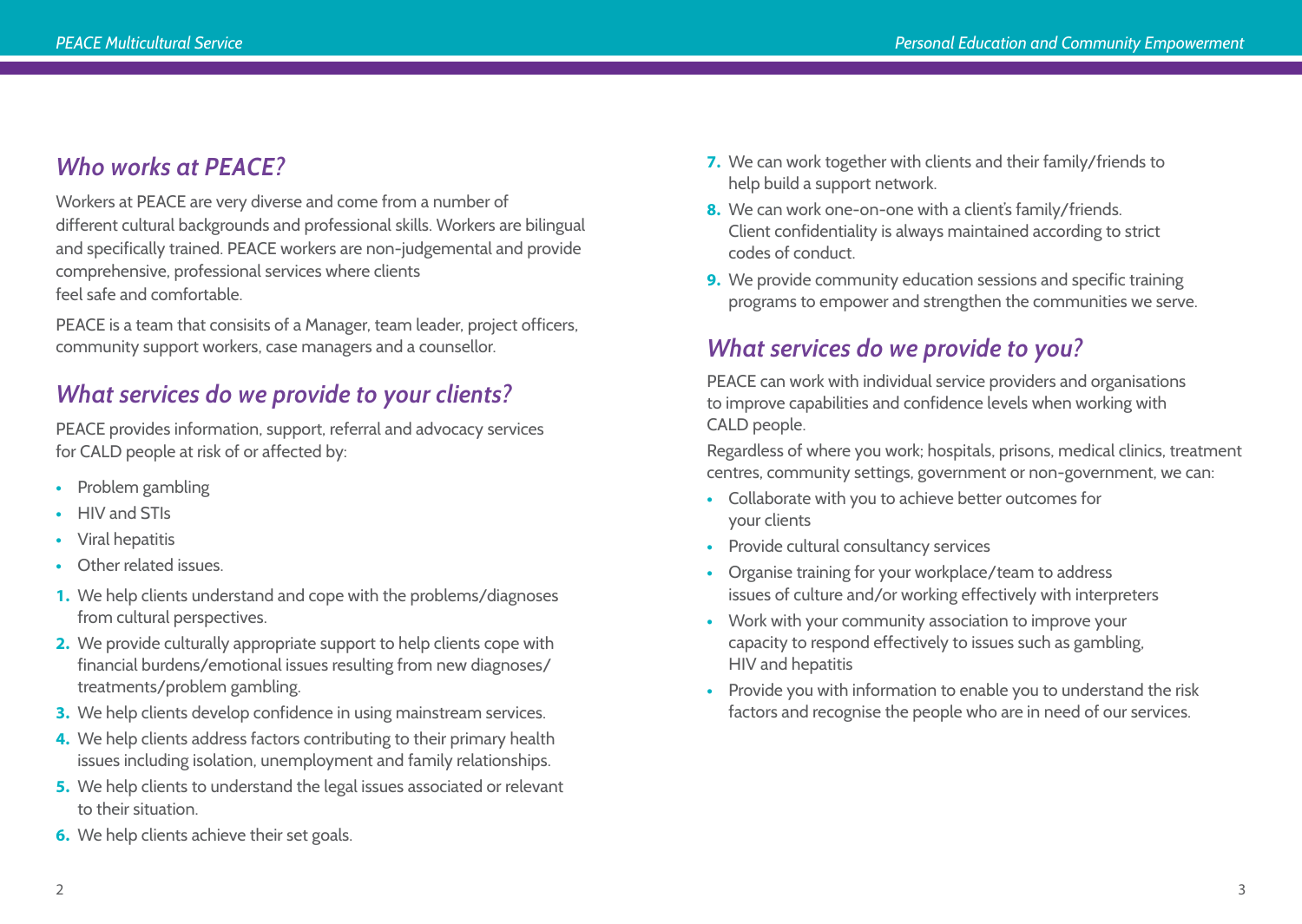# *Who works at PEACE?*

Workers at PEACE are very diverse and come from a number of different cultural backgrounds and professional skills. Workers are bilingual and specifically trained. PEACE workers are non-judgemental and provide comprehensive, professional services where clients feel safe and comfortable.

PEACE is a team that consisits of a Manager, team leader, project officers, community support workers, case managers and a counsellor.

# *What services do we provide to your clients?*

PEACE provides information, support, referral and advocacy services for CALD people at risk of or affected by:

- **•** Problem gambling
- **•** HIV and STIs
- **•** Viral hepatitis
- **•** Other related issues.
- **1.** We help clients understand and cope with the problems/diagnoses from cultural perspectives.
- **2.** We provide culturally appropriate support to help clients cope with financial burdens/emotional issues resulting from new diagnoses/ treatments/problem gambling.
- **3.** We help clients develop confidence in using mainstream services.
- **4.** We help clients address factors contributing to their primary health issues including isolation, unemployment and family relationships.
- **5.** We help clients to understand the legal issues associated or relevant to their situation.
- **6.** We help clients achieve their set goals.
- **7.** We can work together with clients and their family/friends to help build a support network.
- **8.** We can work one-on-one with a client's family/friends. Client confidentiality is always maintained according to strict codes of conduct.
- **9.** We provide community education sessions and specific training programs to empower and strengthen the communities we serve.

# *What services do we provide to you?*

PEACE can work with individual service providers and organisations to improve capabilities and confidence levels when working with CALD people.

Regardless of where you work; hospitals, prisons, medical clinics, treatment centres, community settings, government or non-government, we can:

- **•** Collaborate with you to achieve better outcomes for your clients
- **•** Provide cultural consultancy services
- **•** Organise training for your workplace/team to address issues of culture and/or working effectively with interpreters
- **•** Work with your community association to improve your capacity to respond effectively to issues such as gambling, HIV and hepatitis
- **•** Provide you with information to enable you to understand the risk factors and recognise the people who are in need of our services.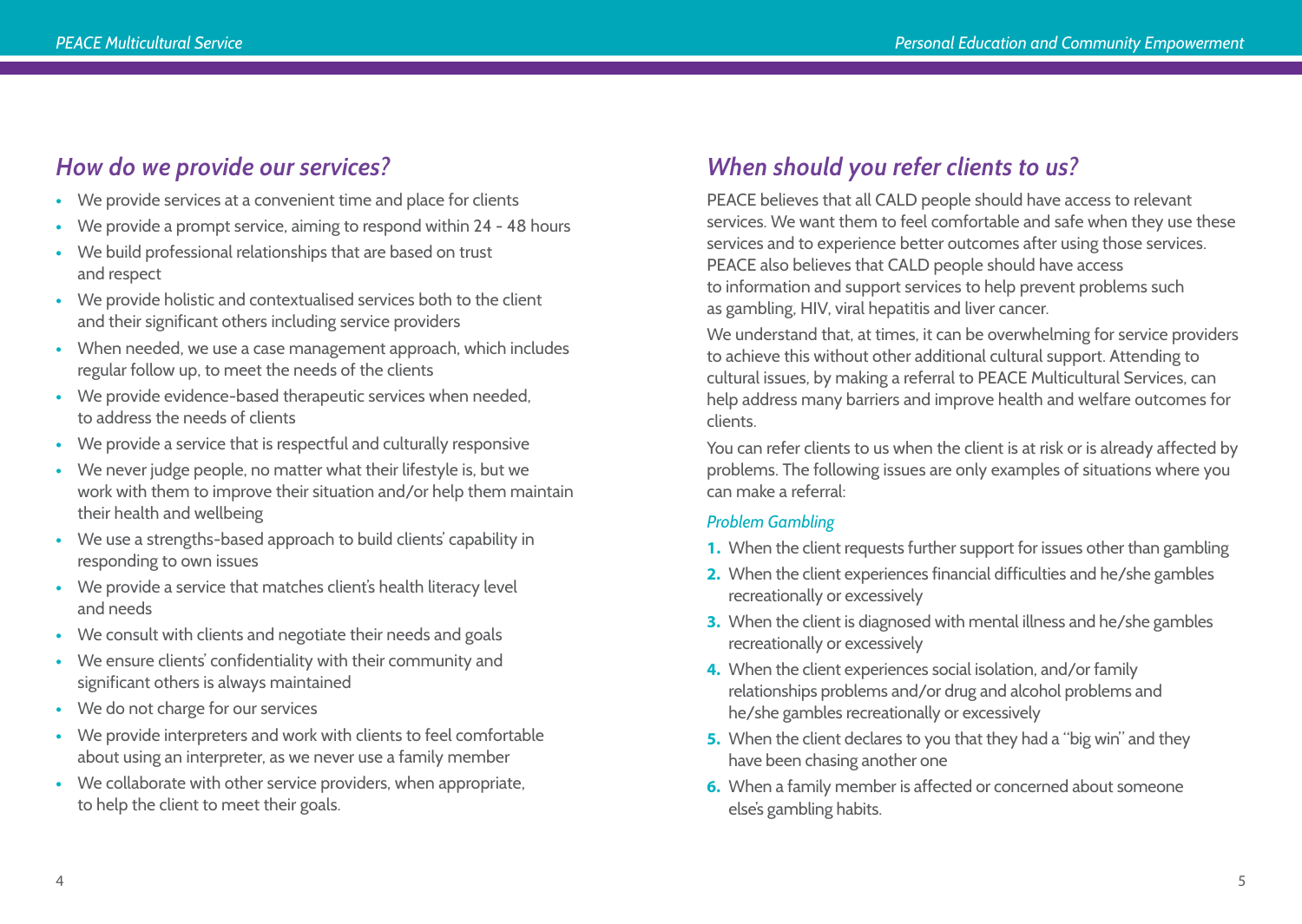# *How do we provide our services?*

- **•** We provide services at a convenient time and place for clients
- **•** We provide a prompt service, aiming to respond within 24 48 hours
- **•** We build professional relationships that are based on trust and respect
- **•** We provide holistic and contextualised services both to the client and their significant others including service providers
- **•** When needed, we use a case management approach, which includes regular follow up, to meet the needs of the clients
- **•** We provide evidence-based therapeutic services when needed, to address the needs of clients
- **•** We provide a service that is respectful and culturally responsive
- **•** We never judge people, no matter what their lifestyle is, but we work with them to improve their situation and/or help them maintain their health and wellbeing
- **•** We use a strengths-based approach to build clients' capability in responding to own issues
- **•** We provide a service that matches client's health literacy level and needs
- **•** We consult with clients and negotiate their needs and goals
- **•** We ensure clients' confidentiality with their community and significant others is always maintained
- **•** We do not charge for our services
- **•** We provide interpreters and work with clients to feel comfortable about using an interpreter, as we never use a family member
- **•** We collaborate with other service providers, when appropriate, to help the client to meet their goals.

# *When should you refer clients to us?*

PEACE believes that all CALD people should have access to relevant services. We want them to feel comfortable and safe when they use these services and to experience better outcomes after using those services. PEACE also believes that CALD people should have access to information and support services to help prevent problems such as gambling, HIV, viral hepatitis and liver cancer.

We understand that, at times, it can be overwhelming for service providers to achieve this without other additional cultural support. Attending to cultural issues, by making a referral to PEACE Multicultural Services, can help address many barriers and improve health and welfare outcomes for clients.

You can refer clients to us when the client is at risk or is already affected by problems. The following issues are only examples of situations where you can make a referral:

#### *Problem Gambling*

- **1.** When the client requests further support for issues other than gambling
- **2.** When the client experiences financial difficulties and he/she gambles recreationally or excessively
- **3.** When the client is diagnosed with mental illness and he/she gambles recreationally or excessively
- **4.** When the client experiences social isolation, and/or family relationships problems and/or drug and alcohol problems and he/she gambles recreationally or excessively
- **5.** When the client declares to you that they had a "big win" and they have been chasing another one
- **6.** When a family member is affected or concerned about someone else's gambling habits.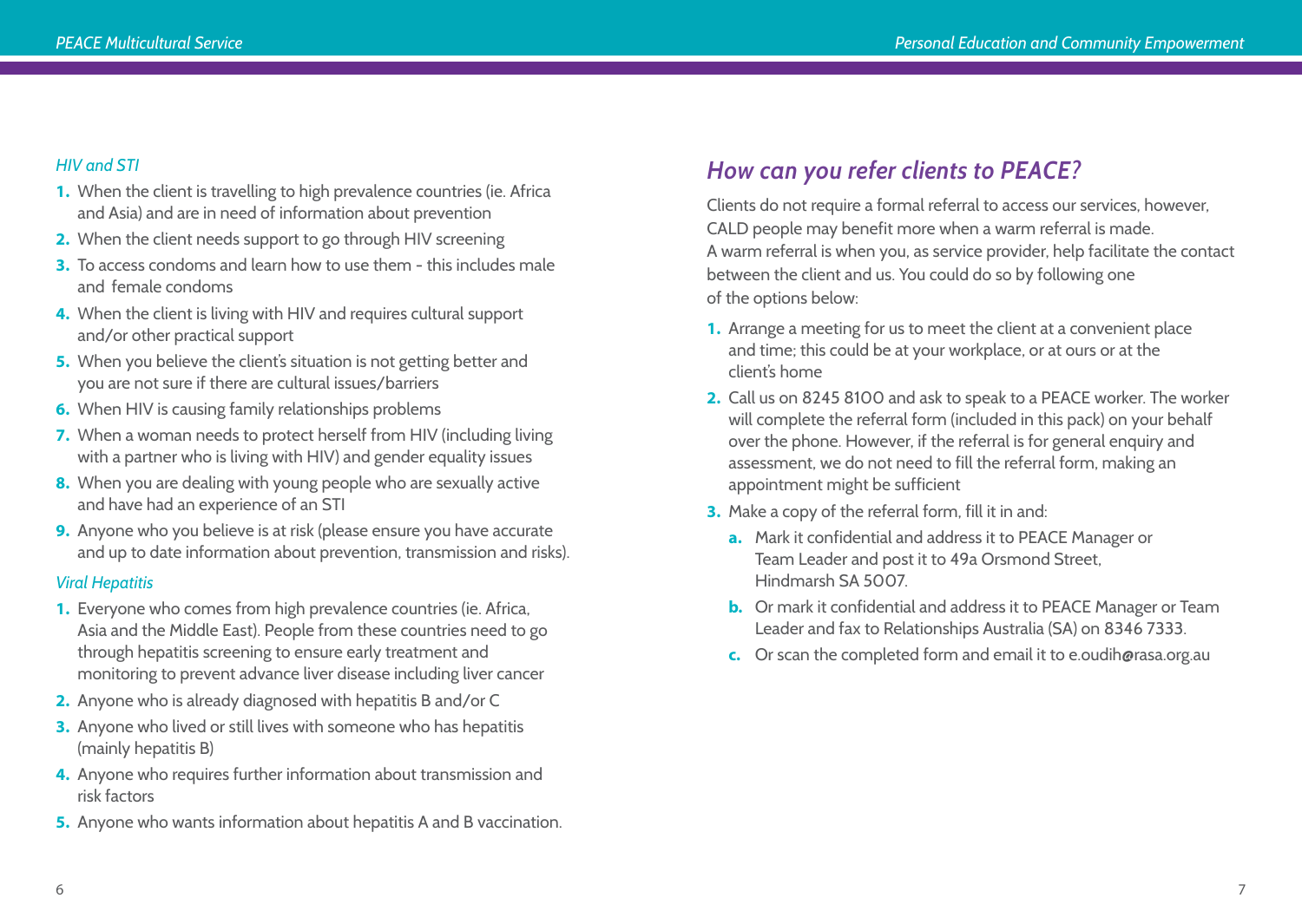#### *HIV and STI*

- **1.** When the client is travelling to high prevalence countries (ie. Africa and Asia) and are in need of information about prevention
- **2.** When the client needs support to go through HIV screening
- **3.** To access condoms and learn how to use them this includes male and female condoms
- **4.** When the client is living with HIV and requires cultural support and/or other practical support
- **5.** When you believe the client's situation is not getting better and you are not sure if there are cultural issues/barriers
- **6.** When HIV is causing family relationships problems
- **7.** When a woman needs to protect herself from HIV (including living with a partner who is living with HIV) and gender equality issues
- **8.** When you are dealing with young people who are sexually active and have had an experience of an STI
- **9.** Anyone who you believe is at risk (please ensure you have accurate and up to date information about prevention, transmission and risks).

#### *Viral Hepatitis*

- **1.** Everyone who comes from high prevalence countries (ie. Africa, Asia and the Middle East). People from these countries need to go through hepatitis screening to ensure early treatment and monitoring to prevent advance liver disease including liver cancer
- **2.** Anyone who is already diagnosed with hepatitis B and/or C
- **3.** Anyone who lived or still lives with someone who has hepatitis (mainly hepatitis B)
- **4.** Anyone who requires further information about transmission and risk factors
- **5.** Anyone who wants information about hepatitis A and B vaccination.

# *How can you refer clients to PEACE?*

Clients do not require a formal referral to access our services, however, CALD people may benefit more when a warm referral is made. A warm referral is when you, as service provider, help facilitate the contact between the client and us. You could do so by following one of the options below:

- **1.** Arrange a meeting for us to meet the client at a convenient place and time; this could be at your workplace, or at ours or at the client's home
- **2.** Call us on 8245 8100 and ask to speak to a PEACE worker. The worker will complete the referral form (included in this pack) on your behalf over the phone. However, if the referral is for general enquiry and assessment, we do not need to fill the referral form, making an appointment might be sufficient
- **3.** Make a copy of the referral form, fill it in and:
	- **a.** Mark it confidential and address it to PEACE Manager or Team Leader and post it to 49a Orsmond Street, Hindmarsh SA 5007.
	- **b.** Or mark it confidential and address it to PEACE Manager or Team Leader and fax to Relationships Australia (SA) on 8346 7333.
	- **c.** Or scan the completed form and email it to e.oudih@rasa.org.au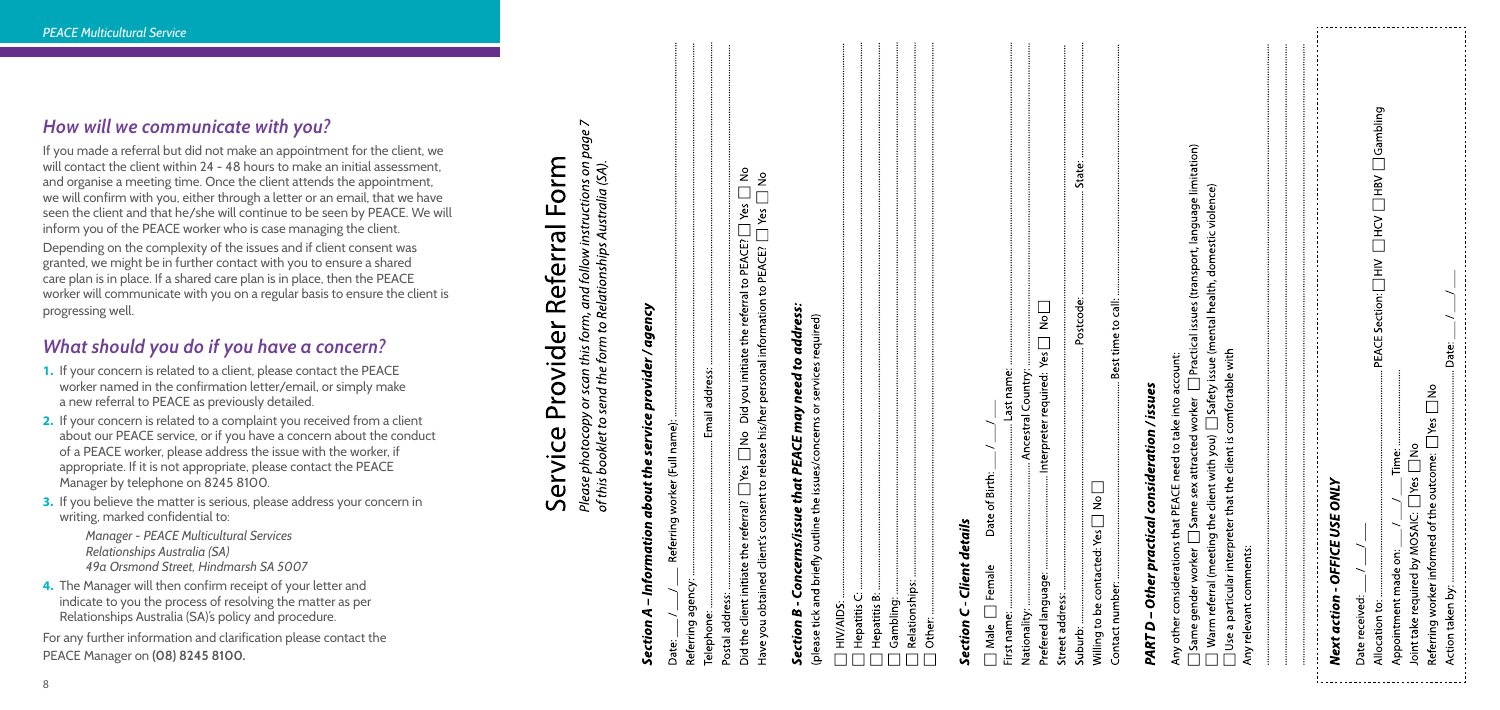| PART D - Other practical consideration / issues                                                                                                                                                                                                                                                    |
|----------------------------------------------------------------------------------------------------------------------------------------------------------------------------------------------------------------------------------------------------------------------------------------------------|
| $\Box$ Same gender worker $\Box$ Same sex attracted worker $\Box$ Practical issues (transport, language limitation)<br>$\Box$ Warm referral (meeting the client with you) $\Box$ Safety issue (mental health, domestic violence)<br>Any other considerations that PEACE need to take into account: |
| $\Box$ Use a particular interpreter that the client is comfortable with<br>Any relevant comments:                                                                                                                                                                                                  |
|                                                                                                                                                                                                                                                                                                    |
| Next action - OFFICE USE ONLY                                                                                                                                                                                                                                                                      |
| $\blacksquare$ $\blacksquare$ $\blacksquare$ $\blacksquare$ $\blacksquare$ $\blacksquare$ $\blacksquare$ $\blacksquare$ $\blacksquare$ $\blacksquare$<br>Date received: $\_\_\/$                                                                                                                   |
|                                                                                                                                                                                                                                                                                                    |
| Referring worker informed of the outcome: $\Box$ Yes $\Box$ No<br>Joint take required by MOSAIC: $\Box$ Yes $\Box$ No                                                                                                                                                                              |
|                                                                                                                                                                                                                                                                                                    |

## *How will we communicate with you?*

If you made a referral but did not make an appointment for the client, we will contact the client within 24 - 48 hours to make an initial assessment. and organise a meeting time. Once the client attends the appointment, we will confirm with you, either through a letter or an email, that we have seen the client and that he/she will continue to be seen by PEACE. We will inform you of the PEACE worker who is case managing the client.

Depending on the complexity of the issues and if client consent was granted, we might be in further contact with you to ensure a shared care plan is in place. If a shared care plan is in place, then the PEACE worker will communicate with you on a regular basis to ensure the client is progressing well.

# *What should you do if you have a concern?*

- **1.** If your concern is related to a client, please contact the PEACE worker named in the confirmation letter/email, or simply make a new referral to PEACE as previously detailed.
- **2.** If your concern is related to a complaint you received from a client about our PEACE service, or if you have a concern about the conduct of a PEACE worker, please address the issue with the worker, if appropriate. If it is not appropriate, please contact the PEACE Manager by telephone on 8245 8100.
- **3.** If you believe the matter is serious, please address your concern in writing, marked confidential to:

*Manager - PEACE Multicultural Services Relationships Australia (SA) 49a Orsmond Street, Hindmarsh SA 5007*

**4.** The Manager will then confirm receipt of your letter and indicate to you the process of resolving the matter as per Relationships Australia (SA)'s policy and procedure.

For any further information and clarification please contact the PEACE Manager on **(08) 8245 8100.**

# Form Service Provider Referral

and follow instructions on page Please photocopy or scan this form, and follow instructions on<br>of this booklet to send the form to Relationships Australia (SA).

# ency ag Section

| Did the client initiate the referral? $\Box$ Yes $\Box$ No $\,$ Did you initiate the referral to <code>PEACE?</code> $\Box$ Yes $\, \Box$ No $\,$ |
|---------------------------------------------------------------------------------------------------------------------------------------------------|
| Have you obtained client's consent to release his/her personal information to PEACE? $\Box$ Yes $\Box$ No                                         |
| Section B - Concerns/issue that PEACE may need to address:                                                                                        |
| (please tick and briefly outline the issues/concerns or services required)                                                                        |
|                                                                                                                                                   |
|                                                                                                                                                   |
|                                                                                                                                                   |
|                                                                                                                                                   |
|                                                                                                                                                   |
|                                                                                                                                                   |
|                                                                                                                                                   |
| Section C - Client details                                                                                                                        |

|                            | Section B - Concerns/issue that PEACE may need to address:<br>(please tick and briefly outline the issues/concerns or services required) |
|----------------------------|------------------------------------------------------------------------------------------------------------------------------------------|
|                            |                                                                                                                                          |
|                            |                                                                                                                                          |
|                            |                                                                                                                                          |
|                            |                                                                                                                                          |
|                            |                                                                                                                                          |
|                            |                                                                                                                                          |
|                            |                                                                                                                                          |
| Section C - Client details |                                                                                                                                          |
| $\Box$ Male $\Box$ Female  | Date of Birth: $\_\$                                                                                                                     |
|                            |                                                                                                                                          |
|                            |                                                                                                                                          |
|                            |                                                                                                                                          |
|                            |                                                                                                                                          |
| نیات بران ک                | j<br>نجام منفقه                                                                                                                          |

<del>ہے</del><br>تہ